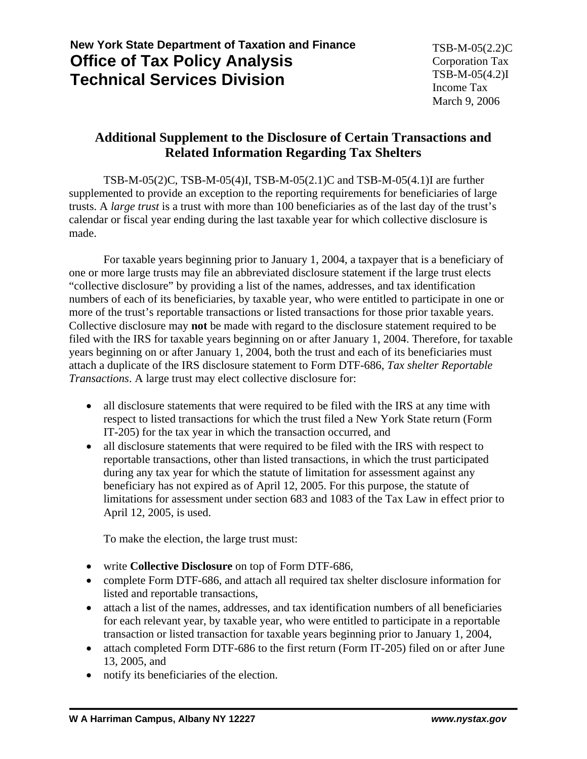## **New York State Department of Taxation and Finance Office of Tax Policy Analysis Technical Services Division**

## **Additional Supplement to the Disclosure of Certain Transactions and Related Information Regarding Tax Shelters**

TSB-M-05(2)C, TSB-M-05(4)I, TSB-M-05(2.1)C and TSB-M-05(4.1)I are further supplemented to provide an exception to the reporting requirements for beneficiaries of large trusts. A *large trust* is a trust with more than 100 beneficiaries as of the last day of the trust's calendar or fiscal year ending during the last taxable year for which collective disclosure is made.

For taxable years beginning prior to January 1, 2004, a taxpayer that is a beneficiary of one or more large trusts may file an abbreviated disclosure statement if the large trust elects "collective disclosure" by providing a list of the names, addresses, and tax identification numbers of each of its beneficiaries, by taxable year, who were entitled to participate in one or more of the trust's reportable transactions or listed transactions for those prior taxable years. Collective disclosure may **not** be made with regard to the disclosure statement required to be filed with the IRS for taxable years beginning on or after January 1, 2004. Therefore, for taxable years beginning on or after January 1, 2004, both the trust and each of its beneficiaries must attach a duplicate of the IRS disclosure statement to Form DTF-686, *Tax shelter Reportable Transactions*. A large trust may elect collective disclosure for:

- all disclosure statements that were required to be filed with the IRS at any time with respect to listed transactions for which the trust filed a New York State return (Form IT-205) for the tax year in which the transaction occurred, and
- all disclosure statements that were required to be filed with the IRS with respect to reportable transactions, other than listed transactions, in which the trust participated during any tax year for which the statute of limitation for assessment against any beneficiary has not expired as of April 12, 2005. For this purpose, the statute of limitations for assessment under section 683 and 1083 of the Tax Law in effect prior to April 12, 2005, is used.

To make the election, the large trust must:

- • write **Collective Disclosure** on top of Form DTF-686,
- complete Form DTF-686, and attach all required tax shelter disclosure information for listed and reportable transactions,
- attach a list of the names, addresses, and tax identification numbers of all beneficiaries for each relevant year, by taxable year, who were entitled to participate in a reportable transaction or listed transaction for taxable years beginning prior to January 1, 2004,
- attach completed Form DTF-686 to the first return (Form IT-205) filed on or after June 13, 2005, and
- notify its beneficiaries of the election.